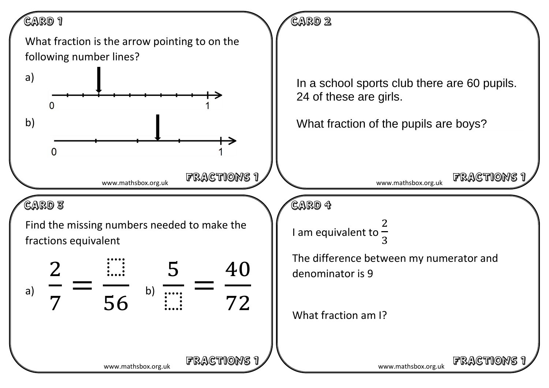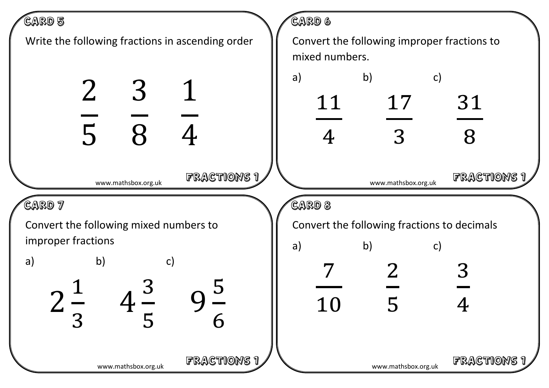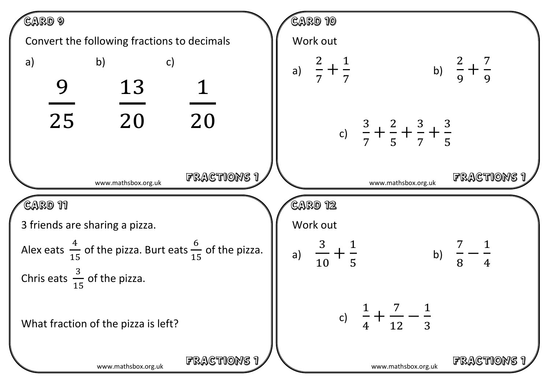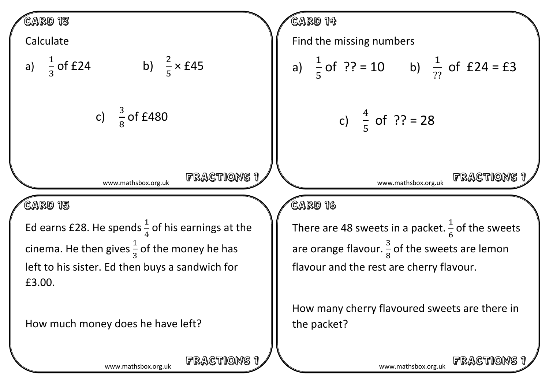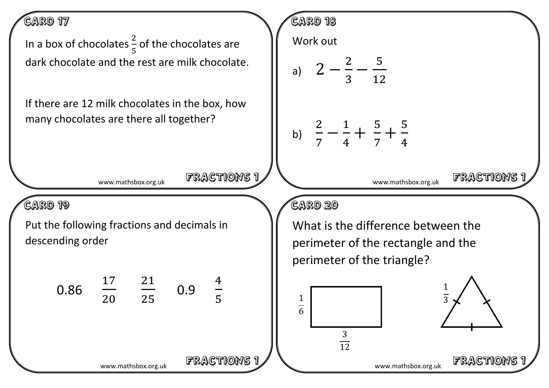